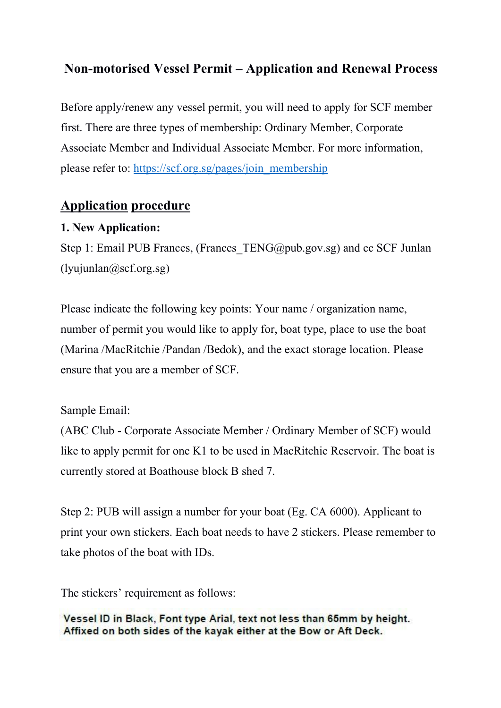# **Non-motorised Vessel Permit – Application and Renewal Process**

Before apply/renew any vessel permit, you will need to apply for SCF member first. There are three types of membership: Ordinary Member, Corporate Associate Member and Individual Associate Member. For more information, please refer to: [https://scf.org.sg/pages/join\\_membership](https://scf.org.sg/pages/join_membership)

# **Application procedure**

#### **1. New Application:**

Step 1: Email PUB Frances, (Frances TENG@pub.gov.sg) and cc SCF Junlan  $(l$ yujunlan $@scf.org.sg)$ 

Please indicate the following key points: Your name / organization name, number of permit you would like to apply for, boat type, place to use the boat (Marina /MacRitchie /Pandan /Bedok), and the exact storage location. Please ensure that you are a member of SCF.

#### Sample Email:

(ABC Club - Corporate Associate Member / Ordinary Member of SCF) would like to apply permit for one K1 to be used in MacRitchie Reservoir. The boat is currently stored at Boathouse block B shed 7.

Step 2: PUB will assign a number for your boat (Eg. CA 6000). Applicant to print your own stickers. Each boat needs to have 2 stickers. Please remember to take photos of the boat with IDs.

The stickers' requirement as follows:

Vessel ID in Black, Font type Arial, text not less than 65mm by height. Affixed on both sides of the kayak either at the Bow or Aft Deck.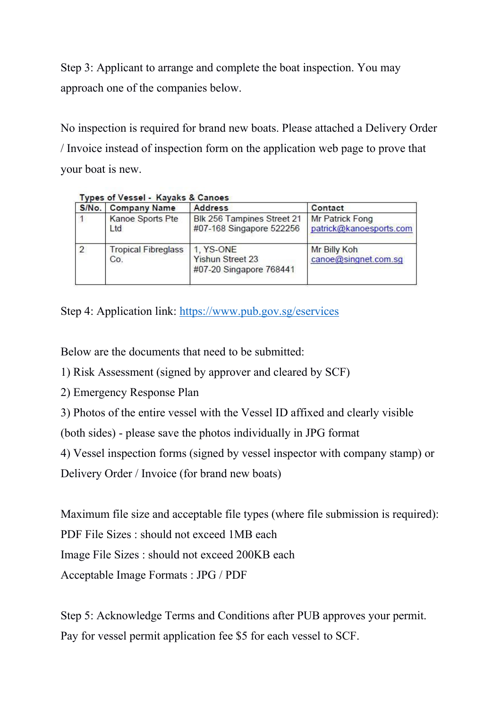Step 3: Applicant to arrange and complete the boat inspection. You may approach one of the companies below.

No inspection is required for brand new boats. Please attached a Delivery Order / Invoice instead of inspection form on the application web page to prove that your boat is new.

| S/No.          | <b>Company Name</b>               | <b>Address</b>                                                  | Contact                                           |
|----------------|-----------------------------------|-----------------------------------------------------------------|---------------------------------------------------|
|                | Kanoe Sports Pte<br>Ltd           | Blk 256 Tampines Street 21<br>#07-168 Singapore 522256          | <b>Mr Patrick Fong</b><br>patrick@kanoesports.com |
| $\overline{2}$ | <b>Tropical Fibreglass</b><br>Co. | 1. YS-ONE<br><b>Yishun Street 23</b><br>#07-20 Singapore 768441 | Mr Billy Koh<br>canoe@singnet.com.sg              |

#### Tynes of Vessel - Kayaks & Canoes

Step 4: Application link: <https://www.pub.gov.sg/eservices>

Below are the documents that need to be submitted:

- 1) Risk Assessment (signed by approver and cleared by SCF)
- 2) Emergency Response Plan
- 3) Photos of the entire vessel with the Vessel ID affixed and clearly visible

(both sides) - please save the photos individually in JPG format

4) Vessel inspection forms (signed by vessel inspector with company stamp) or

Delivery Order / Invoice (for brand new boats)

Maximum file size and acceptable file types (where file submission is required): PDF File Sizes : should not exceed 1MB each Image File Sizes : should not exceed 200KB each Acceptable Image Formats : JPG / PDF

Step 5: Acknowledge Terms and Conditions after PUB approves your permit. Pay for vessel permit application fee \$5 for each vessel to SCF.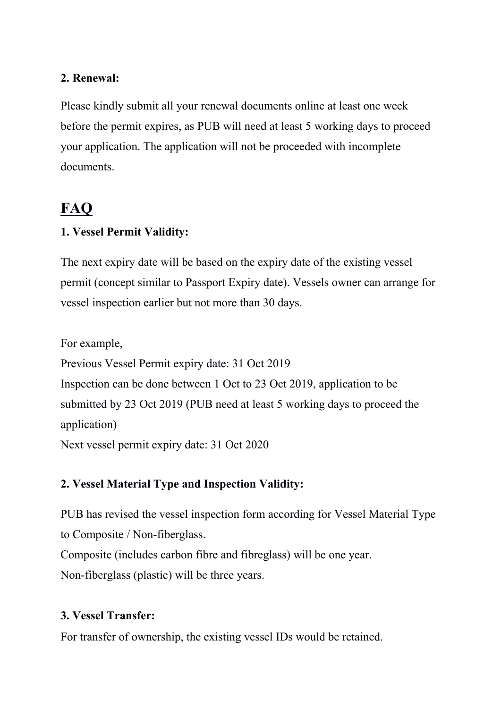#### **2. Renewal:**

Please kindly submit all your renewal documents online at least one week before the permit expires, as PUB will need at least 5 working days to proceed your application. The application will not be proceeded with incomplete documents.

# **FAQ**

## **1. Vessel Permit Validity:**

The next expiry date will be based on the expiry date of the existing vessel permit (concept similar to Passport Expiry date). Vessels owner can arrange for vessel inspection earlier but not more than 30 days.

For example,

Previous Vessel Permit expiry date: 31 Oct 2019 Inspection can be done between 1 Oct to 23 Oct 2019, application to be submitted by 23 Oct 2019 (PUB need at least 5 working days to proceed the application)

Next vessel permit expiry date: 31 Oct 2020

# **2. Vessel Material Type and Inspection Validity:**

PUB has revised the vessel inspection form according for Vessel Material Type to Composite / Non-fiberglass. Composite (includes carbon fibre and fibreglass) will be one year.

Non-fiberglass (plastic) will be three years.

### **3. Vessel Transfer:**

For transfer of ownership, the existing vessel IDs would be retained.